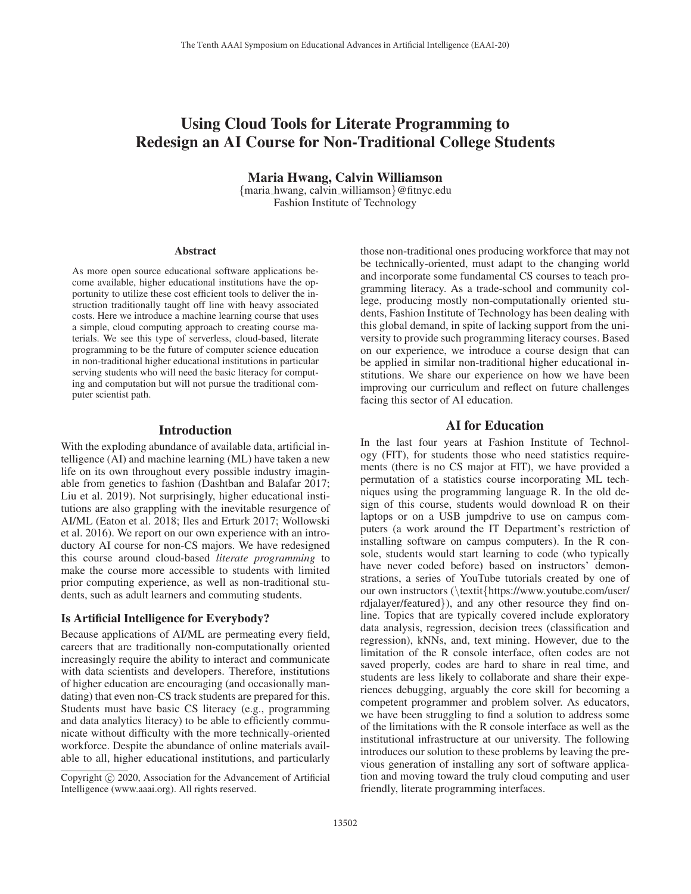# Using Cloud Tools for Literate Programming to Redesign an AI Course for Non-Traditional College Students

Maria Hwang, Calvin Williamson

{maria hwang, calvin williamson}@fitnyc.edu Fashion Institute of Technology

#### **Abstract**

As more open source educational software applications become available, higher educational institutions have the opportunity to utilize these cost efficient tools to deliver the instruction traditionally taught off line with heavy associated costs. Here we introduce a machine learning course that uses a simple, cloud computing approach to creating course materials. We see this type of serverless, cloud-based, literate programming to be the future of computer science education in non-traditional higher educational institutions in particular serving students who will need the basic literacy for computing and computation but will not pursue the traditional computer scientist path.

#### Introduction

With the exploding abundance of available data, artificial intelligence (AI) and machine learning (ML) have taken a new life on its own throughout every possible industry imaginable from genetics to fashion (Dashtban and Balafar 2017; Liu et al. 2019). Not surprisingly, higher educational institutions are also grappling with the inevitable resurgence of AI/ML (Eaton et al. 2018; Iles and Erturk 2017; Wollowski et al. 2016). We report on our own experience with an introductory AI course for non-CS majors. We have redesigned this course around cloud-based *literate programming* to make the course more accessible to students with limited prior computing experience, as well as non-traditional students, such as adult learners and commuting students.

#### Is Artificial Intelligence for Everybody?

Because applications of AI/ML are permeating every field, careers that are traditionally non-computationally oriented increasingly require the ability to interact and communicate with data scientists and developers. Therefore, institutions of higher education are encouraging (and occasionally mandating) that even non-CS track students are prepared for this. Students must have basic CS literacy (e.g., programming and data analytics literacy) to be able to efficiently communicate without difficulty with the more technically-oriented workforce. Despite the abundance of online materials available to all, higher educational institutions, and particularly

those non-traditional ones producing workforce that may not be technically-oriented, must adapt to the changing world and incorporate some fundamental CS courses to teach programming literacy. As a trade-school and community college, producing mostly non-computationally oriented students, Fashion Institute of Technology has been dealing with this global demand, in spite of lacking support from the university to provide such programming literacy courses. Based on our experience, we introduce a course design that can be applied in similar non-traditional higher educational institutions. We share our experience on how we have been improving our curriculum and reflect on future challenges facing this sector of AI education.

# AI for Education

In the last four years at Fashion Institute of Technology (FIT), for students those who need statistics requirements (there is no CS major at FIT), we have provided a permutation of a statistics course incorporating ML techniques using the programming language R. In the old design of this course, students would download R on their laptops or on a USB jumpdrive to use on campus computers (a work around the IT Department's restriction of installing software on campus computers). In the R console, students would start learning to code (who typically have never coded before) based on instructors' demonstrations, a series of YouTube tutorials created by one of our own instructors (\textit{https://www.youtube.com/user/ rdjalayer/featured}), and any other resource they find online. Topics that are typically covered include exploratory data analysis, regression, decision trees (classification and regression), kNNs, and, text mining. However, due to the limitation of the R console interface, often codes are not saved properly, codes are hard to share in real time, and students are less likely to collaborate and share their experiences debugging, arguably the core skill for becoming a competent programmer and problem solver. As educators, we have been struggling to find a solution to address some of the limitations with the R console interface as well as the institutional infrastructure at our university. The following introduces our solution to these problems by leaving the previous generation of installing any sort of software application and moving toward the truly cloud computing and user friendly, literate programming interfaces.

Copyright  $\odot$  2020, Association for the Advancement of Artificial Intelligence (www.aaai.org). All rights reserved.